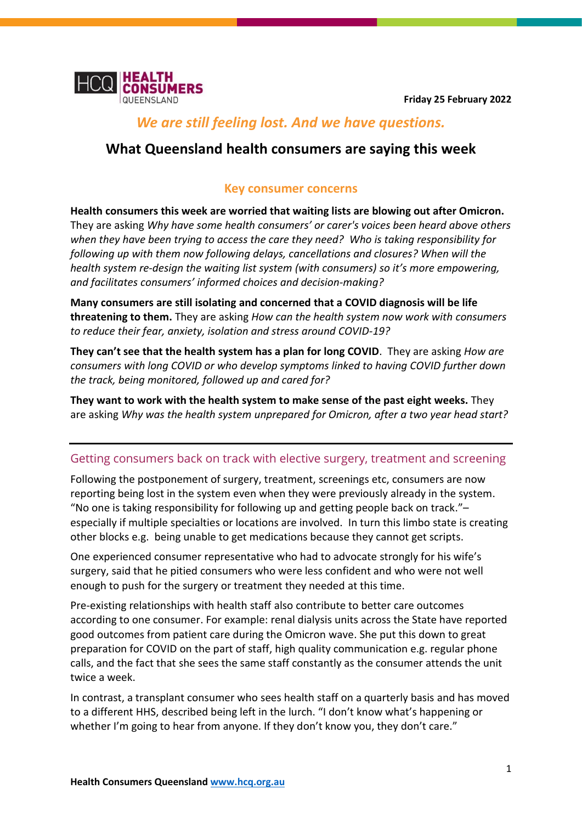

# *We are still feeling lost. And we have questions.*

## **What Queensland health consumers are saying this week**

## **Key consumer concerns**

**Health consumers this week are worried that waiting lists are blowing out after Omicron.** They are asking *Why have some health consumers' or carer's voices been heard above others when they have been trying to access the care they need? Who is taking responsibility for following up with them now following delays, cancellations and closures? When will the health system re-design the waiting list system (with consumers) so it's more empowering, and facilitates consumers' informed choices and decision-making?*

**Many consumers are still isolating and concerned that a COVID diagnosis will be life threatening to them.** They are asking *How can the health system now work with consumers to reduce their fear, anxiety, isolation and stress around COVID-19?*

**They can't see that the health system has a plan for long COVID**. They are asking *How are consumers with long COVID or who develop symptoms linked to having COVID further down the track, being monitored, followed up and cared for?*

**They want to work with the health system to make sense of the past eight weeks.** They are asking *Why was the health system unprepared for Omicron, after a two year head start?* 

## Getting consumers back on track with elective surgery, treatment and screening

Following the postponement of surgery, treatment, screenings etc, consumers are now reporting being lost in the system even when they were previously already in the system. "No one is taking responsibility for following up and getting people back on track."– especially if multiple specialties or locations are involved. In turn this limbo state is creating other blocks e.g. being unable to get medications because they cannot get scripts.

One experienced consumer representative who had to advocate strongly for his wife's surgery, said that he pitied consumers who were less confident and who were not well enough to push for the surgery or treatment they needed at this time.

Pre-existing relationships with health staff also contribute to better care outcomes according to one consumer. For example: renal dialysis units across the State have reported good outcomes from patient care during the Omicron wave. She put this down to great preparation for COVID on the part of staff, high quality communication e.g. regular phone calls, and the fact that she sees the same staff constantly as the consumer attends the unit twice a week.

In contrast, a transplant consumer who sees health staff on a quarterly basis and has moved to a different HHS, described being left in the lurch. "I don't know what's happening or whether I'm going to hear from anyone. If they don't know you, they don't care."